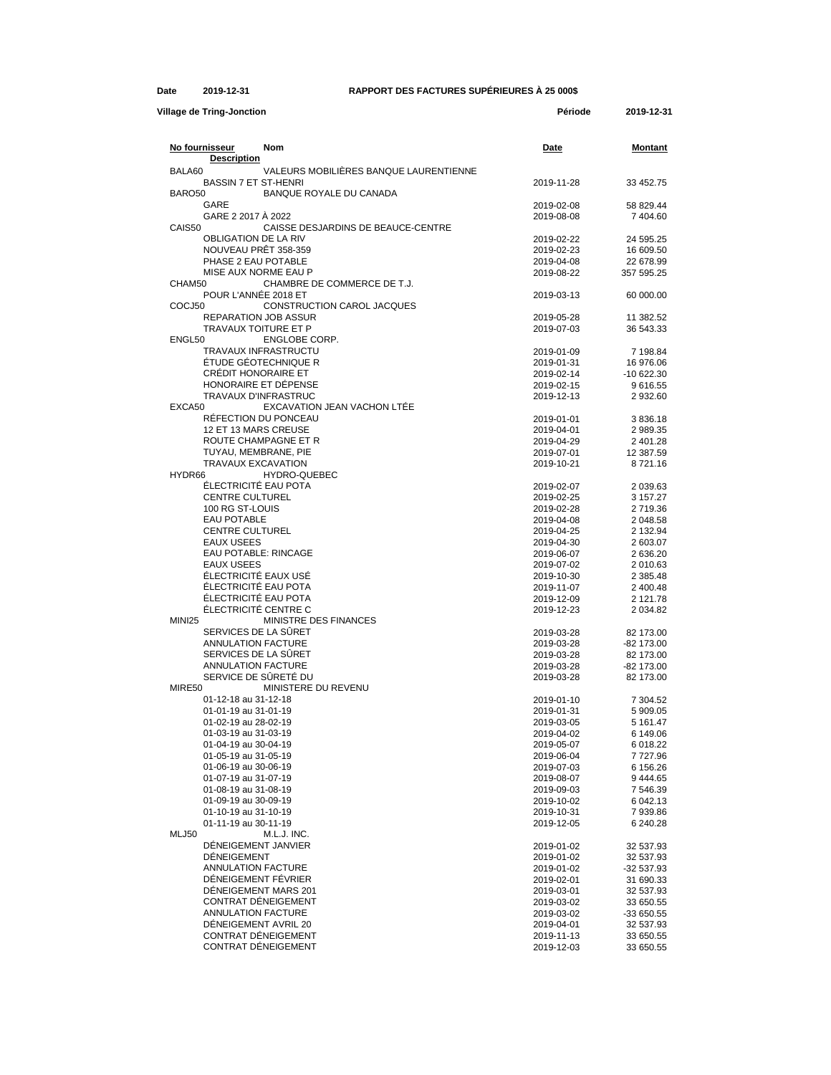## **Date 2019-12-31 RAPPORT DES FACTURES SUPÉRIEURES À 25 000\$**

| <b>Village de Tring-Jonction</b>                                                | Période                  | 2019-12-31              |
|---------------------------------------------------------------------------------|--------------------------|-------------------------|
| No fournisseur<br>Nom                                                           | Date                     | Montant                 |
| <b>Description</b>                                                              |                          |                         |
| VALEURS MOBILIERES BANQUE LAURENTIENNE<br>BALA60<br><b>BASSIN 7 ET ST-HENRI</b> | 2019-11-28               | 33 452.75               |
| BARO <sub>50</sub><br>BANQUE ROYALE DU CANADA                                   |                          |                         |
| GARE                                                                            | 2019-02-08               | 58 829.44               |
| GARE 2 2017 A 2022                                                              | 2019-08-08               | 7 404.60                |
| CAIS50<br>CAISSE DESJARDINS DE BEAUCE-CENTRE                                    |                          |                         |
| <b>OBLIGATION DE LA RIV</b>                                                     | 2019-02-22               | 24 595.25               |
| NOUVEAU PRÊT 358-359<br>PHASE 2 EAU POTABLE                                     | 2019-02-23<br>2019-04-08 | 16 609.50<br>22 678.99  |
| MISE AUX NORME EAU P                                                            | 2019-08-22               | 357 595.25              |
| CHAM50<br>CHAMBRE DE COMMERCE DE T.J.                                           |                          |                         |
| POUR L'ANNÉE 2018 ET                                                            | 2019-03-13               | 60 000 00               |
| COCJ50<br>CONSTRUCTION CAROL JACQUES                                            |                          |                         |
| <b>REPARATION JOB ASSUR</b>                                                     | 2019-05-28               | 11 382.52               |
| TRAVAUX TOITURE ET P<br>ENGL50<br>ENGLOBE CORP.                                 | 2019-07-03               | 36 543 33               |
| TRAVAUX INFRASTRUCTU                                                            | 2019-01-09               | 7 198.84                |
| ÉTUDE GÉOTECHNIQUE R                                                            | 2019-01-31               | 16 976.06               |
| <b>CRÉDIT HONORAIRE ET</b>                                                      | 2019-02-14               | $-10622.30$             |
| HONORAIRE ET DÉPENSE                                                            | 2019-02-15               | 9616.55                 |
| TRAVAUX D'INFRASTRUC                                                            | 2019-12-13               | 2 932.60                |
| EXCA50<br>EXCAVATION JEAN VACHON LTEE                                           |                          |                         |
| RÉFECTION DU PONCEAU<br>12 ET 13 MARS CREUSE                                    | 2019-01-01<br>2019-04-01 | 3836.18                 |
| ROUTE CHAMPAGNE ET R                                                            | 2019-04-29               | 2 989.35<br>2 401.28    |
| TUYAU, MEMBRANE, PIE                                                            | 2019-07-01               | 12 387.59               |
| <b>TRAVAUX EXCAVATION</b>                                                       | 2019-10-21               | 8721.16                 |
| HYDR66<br><b>HYDRO-QUEBEC</b>                                                   |                          |                         |
| ÉLECTRICITÉ EAU POTA                                                            | 2019-02-07               | 2 039.63                |
| <b>CENTRE CULTUREL</b>                                                          | 2019-02-25               | 3 157.27                |
| 100 RG ST-LOUIS<br><b>EAU POTABLE</b>                                           | 2019-02-28<br>2019-04-08 | 2719.36<br>2 048.58     |
| <b>CENTRE CULTUREL</b>                                                          | 2019-04-25               | 2 132.94                |
| <b>EAUX USEES</b>                                                               | 2019-04-30               | 2 603.07                |
| <b>EAU POTABLE: RINCAGE</b>                                                     | 2019-06-07               | 2 636.20                |
| <b>EAUX USEES</b>                                                               | 2019-07-02               | 2 010.63                |
| ÉLECTRICITÉ EAUX USÉ                                                            | 2019-10-30               | 2 3 8 5 . 4 8           |
| ÉLECTRICITÉ EAU POTA<br>ÉLECTRICITÉ EAU POTA                                    | 2019-11-07<br>2019-12-09 | 2 400.48<br>2 121.78    |
| ÉLECTRICITÉ CENTRE C                                                            | 2019-12-23               | 2 0 34.82               |
| <b>MINI25</b><br>MINISTRE DES FINANCES                                          |                          |                         |
| SERVICES DE LA SÜRET                                                            | 2019-03-28               | 82 173.00               |
| <b>ANNULATION FACTURE</b>                                                       | 2019-03-28               | -82 173.00              |
| SERVICES DE LA SÛRET                                                            | 2019-03-28               | 82 173.00               |
| ANNULATION FACTURE<br>SERVICE DE SÛRETÉ DU                                      | 2019-03-28               | -82 173.00<br>82 173.00 |
| MIRE50<br>MINISTERE DU REVENU                                                   | 2019-03-28               |                         |
| 01-12-18 au 31-12-18                                                            | 2019-01-10               | 7 304.52                |
| 01-01-19 au 31-01-19                                                            | 2019-01-31               | 5 909.05                |
| 01-02-19 au 28-02-19                                                            | 2019-03-05               | 5 161.47                |
| 01-03-19 au 31-03-19                                                            | 2019-04-02               | 6 149.06                |
| 01-04-19 au 30-04-19                                                            | 2019-05-07               | 6 018.22                |
| 01-05-19 au 31-05-19<br>01-06-19 au 30-06-19                                    | 2019-06-04<br>2019-07-03 | 7727.96<br>6 156.26     |
| 01-07-19 au 31-07-19                                                            | 2019-08-07               | 9 444.65                |
| 01-08-19 au 31-08-19                                                            | 2019-09-03               | 7 546.39                |
| 01-09-19 au 30-09-19                                                            | 2019-10-02               | 6 042.13                |
| 01-10-19 au 31-10-19                                                            | 2019-10-31               | 7939.86                 |
| 01-11-19 au 30-11-19                                                            | 2019-12-05               | 6 240.28                |
| MLJ50<br>M.L.J. INC.<br>DÉNEIGEMENT JANVIER                                     |                          |                         |
| DÉNEIGEMENT                                                                     | 2019-01-02<br>2019-01-02 | 32 537.93<br>32 537.93  |
| <b>ANNULATION FACTURE</b>                                                       | 2019-01-02               | -32 537.93              |
| DÉNEIGEMENT FÉVRIER                                                             | 2019-02-01               | 31 690.33               |
| DÊNEIGEMENT MARS 201                                                            | 2019-03-01               | 32 537.93               |
| CONTRAT DÉNEIGEMENT                                                             | 2019-03-02               | 33 650.55               |
| <b>ANNULATION FACTURE</b>                                                       | 2019-03-02               | -33 650.55              |
| DÉNEIGEMENT AVRIL 20<br>CONTRAT DÉNEIGEMENT                                     | 2019-04-01<br>2019-11-13 | 32 537.93<br>33 650.55  |
| CONTRAT DÉNEIGEMENT                                                             | 2019-12-03               | 33 650.55               |